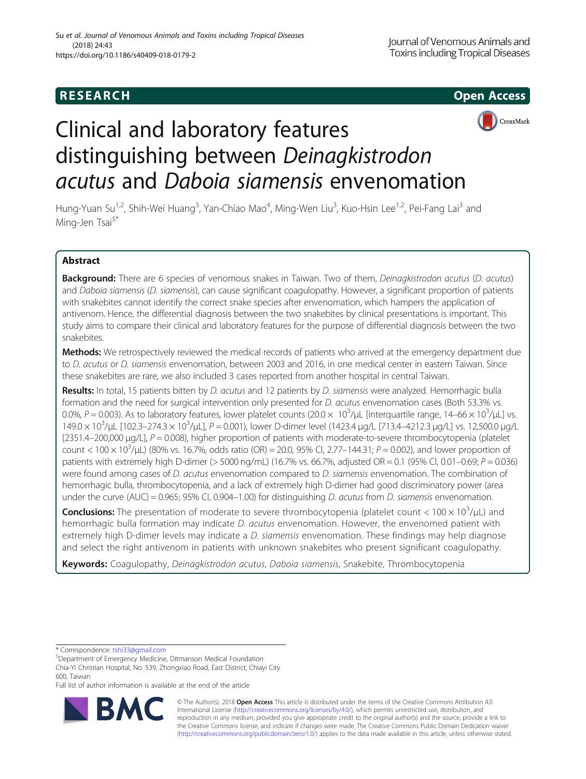



# Clinical and laboratory features distinguishing between Deinagkistrodon acutus and Daboia siamensis envenomation

Hung-Yuan Su<sup>1,2</sup>, Shih-Wei Huang<sup>3</sup>, Yan-Chiao Mao<sup>4</sup>, Ming-Wen Liu<sup>3</sup>, Kuo-Hsin Lee<sup>1,2</sup>, Pei-Fang Lai<sup>3</sup> and Ming-Jen Tsai<sup>5\*</sup>

## Abstract

Background: There are 6 species of venomous snakes in Taiwan. Two of them, Deinagkistrodon acutus (D. acutus) and Daboia siamensis (D. siamensis), can cause significant coagulopathy. However, a significant proportion of patients with snakebites cannot identify the correct snake species after envenomation, which hampers the application of antivenom. Hence, the differential diagnosis between the two snakebites by clinical presentations is important. This study aims to compare their clinical and laboratory features for the purpose of differential diagnosis between the two snakebites.

Methods: We retrospectively reviewed the medical records of patients who arrived at the emergency department due to D. acutus or D. siamensis envenomation, between 2003 and 2016, in one medical center in eastern Taiwan. Since these snakebites are rare, we also included 3 cases reported from another hospital in central Taiwan.

Results: In total, 15 patients bitten by D. acutus and 12 patients by D. siamensis were analyzed. Hemorrhagic bulla formation and the need for surgical intervention only presented for *D. acutus* envenomation cases (Both 53.3% vs. 0.0%,  $P = 0.003$ ). As to laboratory features, lower platelet counts (20.0 × 10<sup>3</sup>/µL [interquartile range, 14–66 × 10<sup>3</sup>/µL] vs.  $149.0 \times 10^3$ /μL [102.3–274.3 × 10<sup>3</sup>/μL], P = 0.001), lower D-dimer level (1423.4 μg/L [713.4–4212.3 μg/L] vs. 12,500.0 μg/L [2351.4–200,000 µg/L],  $P = 0.008$ ), higher proportion of patients with moderate-to-severe thrombocytopenia (platelet count < 100 × 10<sup>3</sup>/µL) (80% vs. 16.7%, odds ratio (OR) = 20.0, 95% CI, 2.77–144.31; P = 0.002), and lower proportion of patients with extremely high D-dimer (> 5000 ng/mL) (16.7% vs. 66.7%, adjusted OR = 0.1 (95% CI, 0.01-0.69;  $P = 0.036$ ) were found among cases of D. acutus envenomation compared to D. siamensis envenomation. The combination of hemorrhagic bulla, thrombocytopenia, and a lack of extremely high D-dimer had good discriminatory power (area under the curve (AUC) = 0.965; 95% CI, 0.904–1.00) for distinguishing *D. acutus* from *D. siamensis* envenomation.

**Conclusions:** The presentation of moderate to severe thrombocytopenia (platelet count < 100 × 10<sup>3</sup>/μL) and hemorrhagic bulla formation may indicate *D. acutus* envenomation. However, the envenomed patient with extremely high D-dimer levels may indicate a *D. siamensis* envenomation. These findings may help diagnose and select the right antivenom in patients with unknown snakebites who present significant coagulopathy.

Keywords: Coagulopathy, Deinagkistrodon acutus, Daboia siamensis, Snakebite, Thrombocytopenia

Full list of author information is available at the end of the article



© The Author(s). 2018 Open Access This article is distributed under the terms of the Creative Commons Attribution 4.0 International License [\(http://creativecommons.org/licenses/by/4.0/](http://creativecommons.org/licenses/by/4.0/)), which permits unrestricted use, distribution, and reproduction in any medium, provided you give appropriate credit to the original author(s) and the source, provide a link to the Creative Commons license, and indicate if changes were made. The Creative Commons Public Domain Dedication waiver [\(http://creativecommons.org/publicdomain/zero/1.0/](http://creativecommons.org/publicdomain/zero/1.0/)) applies to the data made available in this article, unless otherwise stated.

<sup>\*</sup> Correspondence: [tshi33@gmail.com](mailto:tshi33@gmail.com) <sup>5</sup>

<sup>&</sup>lt;sup>5</sup>Department of Emergency Medicine, Ditmanson Medical Foundation Chia-Yi Christian Hospital, No. 539, Zhongxiao Road, East District, Chiayi City 600, Taiwan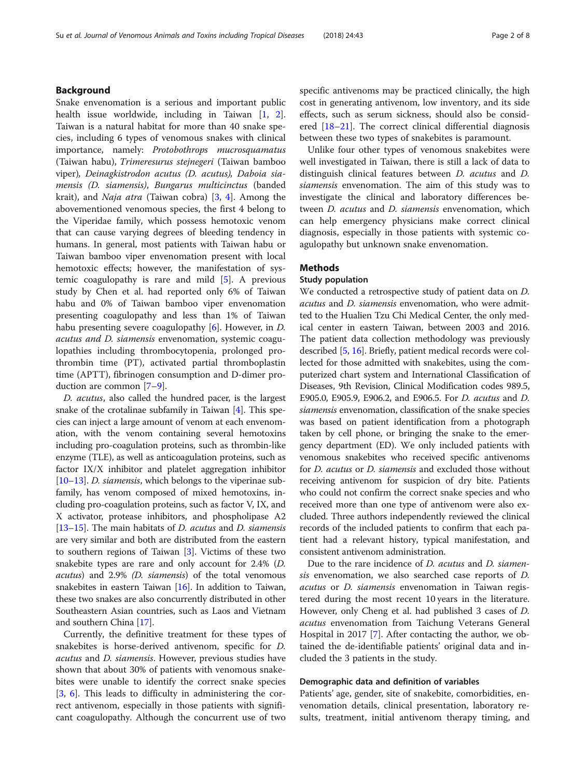## Background

Snake envenomation is a serious and important public health issue worldwide, including in Taiwan [\[1](#page-7-0), [2](#page-7-0)]. Taiwan is a natural habitat for more than 40 snake species, including 6 types of venomous snakes with clinical importance, namely: Protobothrops mucrosquamatus (Taiwan habu), Trimeresurus stejnegeri (Taiwan bamboo viper), Deinagkistrodon acutus (D. acutus), Daboia siamensis (D. siamensis), Bungarus multicinctus (banded krait), and Naja atra (Taiwan cobra) [\[3](#page-7-0), [4](#page-7-0)]. Among the abovementioned venomous species, the first 4 belong to the Viperidae family, which possess hemotoxic venom that can cause varying degrees of bleeding tendency in humans. In general, most patients with Taiwan habu or Taiwan bamboo viper envenomation present with local hemotoxic effects; however, the manifestation of systemic coagulopathy is rare and mild [\[5](#page-7-0)]. A previous study by Chen et al. had reported only 6% of Taiwan habu and 0% of Taiwan bamboo viper envenomation presenting coagulopathy and less than 1% of Taiwan habu presenting severe coagulopathy [\[6](#page-7-0)]. However, in D. acutus and D. siamensis envenomation, systemic coagulopathies including thrombocytopenia, prolonged prothrombin time (PT), activated partial thromboplastin time (APTT), fibrinogen consumption and D-dimer production are common [[7](#page-7-0)–[9\]](#page-7-0).

D. acutus, also called the hundred pacer, is the largest snake of the crotalinae subfamily in Taiwan [[4](#page-7-0)]. This species can inject a large amount of venom at each envenomation, with the venom containing several hemotoxins including pro-coagulation proteins, such as thrombin-like enzyme (TLE), as well as anticoagulation proteins, such as factor IX/X inhibitor and platelet aggregation inhibitor [[10](#page-7-0)–[13\]](#page-7-0). D. siamensis, which belongs to the viperinae subfamily, has venom composed of mixed hemotoxins, including pro-coagulation proteins, such as factor V, IX, and X activator, protease inhibitors, and phospholipase A2 [ $13-15$  $13-15$ ]. The main habitats of *D. acutus* and *D. siamensis* are very similar and both are distributed from the eastern to southern regions of Taiwan [[3\]](#page-7-0). Victims of these two snakebite types are rare and only account for 2.4% (D. acutus) and 2.9% (D. siamensis) of the total venomous snakebites in eastern Taiwan [[16](#page-7-0)]. In addition to Taiwan, these two snakes are also concurrently distributed in other Southeastern Asian countries, such as Laos and Vietnam and southern China [[17](#page-7-0)].

Currently, the definitive treatment for these types of snakebites is horse-derived antivenom, specific for D. acutus and D. siamensis. However, previous studies have shown that about 30% of patients with venomous snakebites were unable to identify the correct snake species [[3,](#page-7-0) [6\]](#page-7-0). This leads to difficulty in administering the correct antivenom, especially in those patients with significant coagulopathy. Although the concurrent use of two specific antivenoms may be practiced clinically, the high cost in generating antivenom, low inventory, and its side effects, such as serum sickness, should also be considered [[18](#page-7-0)–[21\]](#page-7-0). The correct clinical differential diagnosis between these two types of snakebites is paramount.

Unlike four other types of venomous snakebites were well investigated in Taiwan, there is still a lack of data to distinguish clinical features between D. acutus and D. siamensis envenomation. The aim of this study was to investigate the clinical and laboratory differences between *D. acutus* and *D. siamensis* envenomation, which can help emergency physicians make correct clinical diagnosis, especially in those patients with systemic coagulopathy but unknown snake envenomation.

## **Methods**

## Study population

We conducted a retrospective study of patient data on *D*. acutus and D. siamensis envenomation, who were admitted to the Hualien Tzu Chi Medical Center, the only medical center in eastern Taiwan, between 2003 and 2016. The patient data collection methodology was previously described [\[5](#page-7-0), [16](#page-7-0)]. Briefly, patient medical records were collected for those admitted with snakebites, using the computerized chart system and International Classification of Diseases, 9th Revision, Clinical Modification codes 989.5, E905.0, E905.9, E906.2, and E906.5. For D. acutus and D. siamensis envenomation, classification of the snake species was based on patient identification from a photograph taken by cell phone, or bringing the snake to the emergency department (ED). We only included patients with venomous snakebites who received specific antivenoms for D. acutus or D. siamensis and excluded those without receiving antivenom for suspicion of dry bite. Patients who could not confirm the correct snake species and who received more than one type of antivenom were also excluded. Three authors independently reviewed the clinical records of the included patients to confirm that each patient had a relevant history, typical manifestation, and consistent antivenom administration.

Due to the rare incidence of *D. acutus* and *D. siamen*sis envenomation, we also searched case reports of D. acutus or D. siamensis envenomation in Taiwan registered during the most recent 10 years in the literature. However, only Cheng et al. had published 3 cases of D. acutus envenomation from Taichung Veterans General Hospital in 2017 [\[7](#page-7-0)]. After contacting the author, we obtained the de-identifiable patients' original data and included the 3 patients in the study.

## Demographic data and definition of variables

Patients' age, gender, site of snakebite, comorbidities, envenomation details, clinical presentation, laboratory results, treatment, initial antivenom therapy timing, and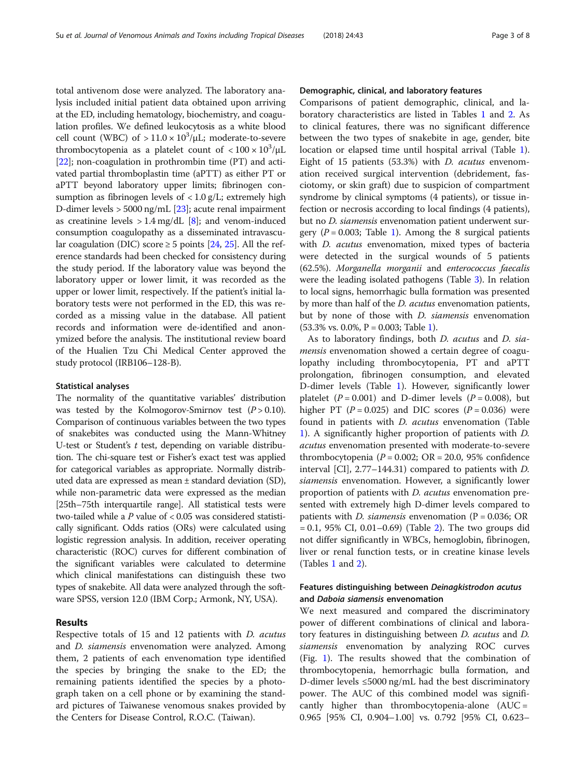total antivenom dose were analyzed. The laboratory analysis included initial patient data obtained upon arriving at the ED, including hematology, biochemistry, and coagulation profiles. We defined leukocytosis as a white blood cell count (WBC) of  $> 11.0 \times 10^3/\mu L$ ; moderate-to-severe thrombocytopenia as a platelet count of  $< 100 \times 10^3/\mu L$ [[22](#page-7-0)]; non-coagulation in prothrombin time (PT) and activated partial thromboplastin time (aPTT) as either PT or aPTT beyond laboratory upper limits; fibrinogen consumption as fibrinogen levels of  $<$  1.0 g/L; extremely high D-dimer levels > 5000 ng/mL [\[23\]](#page-7-0); acute renal impairment as creatinine levels  $> 1.4$  mg/dL [\[8](#page-7-0)]; and venom-induced consumption coagulopathy as a disseminated intravascular coagulation (DIC) score  $\geq$  5 points [[24](#page-7-0), [25\]](#page-7-0). All the reference standards had been checked for consistency during the study period. If the laboratory value was beyond the laboratory upper or lower limit, it was recorded as the upper or lower limit, respectively. If the patient's initial laboratory tests were not performed in the ED, this was recorded as a missing value in the database. All patient records and information were de-identified and anonymized before the analysis. The institutional review board of the Hualien Tzu Chi Medical Center approved the study protocol (IRB106–128-B).

## Statistical analyses

The normality of the quantitative variables' distribution was tested by the Kolmogorov-Smirnov test  $(P > 0.10)$ . Comparison of continuous variables between the two types of snakebites was conducted using the Mann-Whitney U-test or Student's  $t$  test, depending on variable distribution. The chi-square test or Fisher's exact test was applied for categorical variables as appropriate. Normally distributed data are expressed as mean ± standard deviation (SD), while non-parametric data were expressed as the median [25th–75th interquartile range]. All statistical tests were two-tailed while a  $P$  value of  $< 0.05$  was considered statistically significant. Odds ratios (ORs) were calculated using logistic regression analysis. In addition, receiver operating characteristic (ROC) curves for different combination of the significant variables were calculated to determine which clinical manifestations can distinguish these two types of snakebite. All data were analyzed through the software SPSS, version 12.0 (IBM Corp.; Armonk, NY, USA).

## Results

Respective totals of 15 and 12 patients with D. acutus and *D. siamensis* envenomation were analyzed. Among them, 2 patients of each envenomation type identified the species by bringing the snake to the ED; the remaining patients identified the species by a photograph taken on a cell phone or by examining the standard pictures of Taiwanese venomous snakes provided by the Centers for Disease Control, R.O.C. (Taiwan).

## Demographic, clinical, and laboratory features

Comparisons of patient demographic, clinical, and laboratory characteristics are listed in Tables [1](#page-3-0) and [2.](#page-4-0) As to clinical features, there was no significant difference between the two types of snakebite in age, gender, bite location or elapsed time until hospital arrival (Table [1](#page-3-0)). Eight of 15 patients (53.3%) with D. acutus envenomation received surgical intervention (debridement, fasciotomy, or skin graft) due to suspicion of compartment syndrome by clinical symptoms (4 patients), or tissue infection or necrosis according to local findings (4 patients), but no *D. siamensis* envenomation patient underwent surgery ( $P = 0.003$ ; Table [1](#page-3-0)). Among the 8 surgical patients with *D. acutus* envenomation, mixed types of bacteria were detected in the surgical wounds of 5 patients (62.5%). Morganella morganii and enterococcus faecalis were the leading isolated pathogens (Table [3](#page-4-0)). In relation to local signs, hemorrhagic bulla formation was presented by more than half of the *D. acutus* envenomation patients, but by none of those with *D. siamensis* envenomation  $(53.3\% \text{ vs. } 0.0\%, P = 0.003; \text{ Table } 1).$  $(53.3\% \text{ vs. } 0.0\%, P = 0.003; \text{ Table } 1).$  $(53.3\% \text{ vs. } 0.0\%, P = 0.003; \text{ Table } 1).$ 

As to laboratory findings, both D. acutus and D. siamensis envenomation showed a certain degree of coagulopathy including thrombocytopenia, PT and aPTT prolongation, fibrinogen consumption, and elevated D-dimer levels (Table [1\)](#page-3-0). However, significantly lower platelet ( $P = 0.001$ ) and D-dimer levels ( $P = 0.008$ ), but higher PT  $(P = 0.025)$  and DIC scores  $(P = 0.036)$  were found in patients with *D. acutus* envenomation (Table [1\)](#page-3-0). A significantly higher proportion of patients with D. acutus envenomation presented with moderate-to-severe thrombocytopenia ( $P = 0.002$ ; OR = 20.0, 95% confidence interval [CI], 2.77–144.31) compared to patients with D. siamensis envenomation. However, a significantly lower proportion of patients with *D. acutus* envenomation presented with extremely high D-dimer levels compared to patients with *D. siamensis* envenomation ( $P = 0.036$ ; OR  $= 0.1$ , 95% CI, 0.01–0.69) (Table [2\)](#page-4-0). The two groups did not differ significantly in WBCs, hemoglobin, fibrinogen, liver or renal function tests, or in creatine kinase levels (Tables [1](#page-3-0) and [2\)](#page-4-0).

## Features distinguishing between Deinagkistrodon acutus and Daboia siamensis envenomation

We next measured and compared the discriminatory power of different combinations of clinical and laboratory features in distinguishing between D. acutus and D. siamensis envenomation by analyzing ROC curves (Fig. [1\)](#page-5-0). The results showed that the combination of thrombocytopenia, hemorrhagic bulla formation, and D-dimer levels ≤5000 ng/mL had the best discriminatory power. The AUC of this combined model was significantly higher than thrombocytopenia-alone (AUC = 0.965 [95% CI, 0.904–1.00] vs. 0.792 [95% CI, 0.623–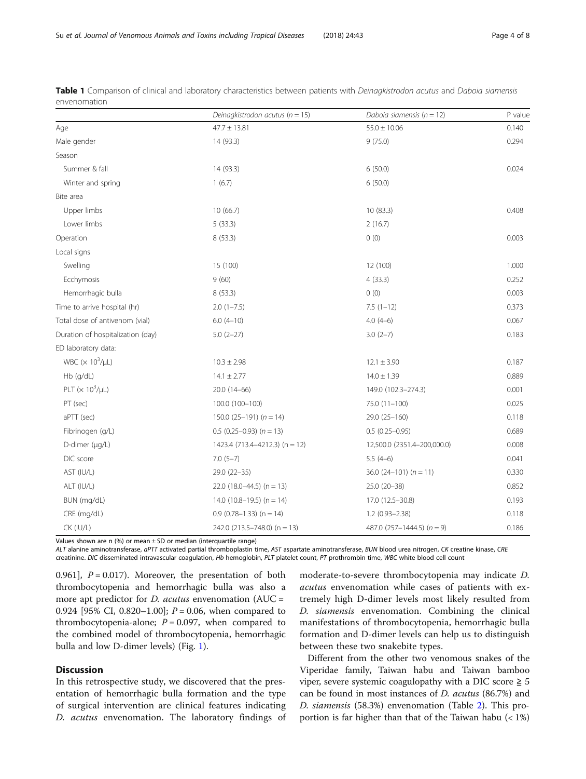|                                     | Deinagkistrodon acutus ( $n = 15$ ) | Daboia siamensis ( $n = 12$ )  | P value |
|-------------------------------------|-------------------------------------|--------------------------------|---------|
| Age                                 | $47.7 \pm 13.81$                    | $55.0 \pm 10.06$               | 0.140   |
| Male gender                         | 14 (93.3)                           | 9(75.0)                        | 0.294   |
| Season                              |                                     |                                |         |
| Summer & fall                       | 14 (93.3)                           | 6(50.0)                        | 0.024   |
| Winter and spring                   | 1(6.7)                              | 6(50.0)                        |         |
| Bite area                           |                                     |                                |         |
| Upper limbs                         | 10(66.7)                            | 10(83.3)                       | 0.408   |
| Lower limbs                         | 5(33.3)                             | 2(16.7)                        |         |
| Operation                           | 8(53.3)                             | 0(0)                           | 0.003   |
| Local signs                         |                                     |                                |         |
| Swelling                            | 15 (100)                            | 12 (100)                       | 1.000   |
| Ecchymosis                          | 9(60)                               | 4(33.3)                        | 0.252   |
| Hemorrhagic bulla                   | 8(53.3)                             | 0(0)                           | 0.003   |
| Time to arrive hospital (hr)        | $2.0(1-7.5)$                        | $7.5(1-12)$                    | 0.373   |
| Total dose of antivenom (vial)      | $6.0(4-10)$                         | $4.0(4-6)$                     | 0.067   |
| Duration of hospitalization (day)   | $5.0(2-27)$                         | $3.0(2-7)$                     | 0.183   |
| ED laboratory data:                 |                                     |                                |         |
| WBC $(\times 10^3/\mu L)$           | $10.3 \pm 2.98$                     | $12.1 \pm 3.90$                | 0.187   |
| Hb (g/dL)                           | $14.1 \pm 2.77$                     | $14.0 \pm 1.39$                | 0.889   |
| PLT ( $\times$ 10 <sup>3</sup> /µL) | $20.0(14-66)$                       | 149.0 (102.3-274.3)            | 0.001   |
| PT (sec)                            | 100.0 (100-100)                     | 75.0 (11-100)                  | 0.025   |
| aPTT (sec)                          | 150.0 (25-191) $(n = 14)$           | 29.0 (25-160)                  | 0.118   |
| Fibrinogen (g/L)                    | $0.5$ (0.25-0.93) ( $n = 13$ )      | $0.5(0.25 - 0.95)$             | 0.689   |
| D-dimer (µg/L)                      | 1423.4 $(713.4 - 4212.3)$ (n = 12)  | 12,500.0 (2351.4-200,000.0)    | 0.008   |
| DIC score                           | $7.0(5-7)$                          | $5.5(4-6)$                     | 0.041   |
| AST (IU/L)                          | 29.0 (22-35)                        | 36.0 $(24-101)$ $(n = 11)$     | 0.330   |
| ALT (IU/L)                          | 22.0 $(18.0-44.5)$ (n = 13)         | 25.0 (20-38)                   | 0.852   |
| BUN (mg/dL)                         | $14.0$ (10.8-19.5) (n = 14)         | 17.0 (12.5-30.8)               | 0.193   |
| CRE (mg/dL)                         | $0.9$ (0.78-1.33) (n = 14)          | $1.2(0.93 - 2.38)$             | 0.118   |
| CK (IU/L)                           | 242.0 $(213.5 - 748.0)$ (n = 13)    | 487.0 $(257-1444.5)$ $(n = 9)$ | 0.186   |

<span id="page-3-0"></span>Table 1 Comparison of clinical and laboratory characteristics between patients with Deinagkistrodon acutus and Daboia siamensis envenomation

Values shown are n  $(%)$  or mean  $±$  SD or median (interquartile range)

ALT alanine aminotransferase, aPTT activated partial thromboplastin time, AST aspartate aminotransferase, BUN blood urea nitrogen, CK creatine kinase, CRE creatinine. DIC disseminated intravascular coagulation, Hb hemoglobin, PLT platelet count, PT prothrombin time, WBC white blood cell count

0.961],  $P = 0.017$ ). Moreover, the presentation of both thrombocytopenia and hemorrhagic bulla was also a more apt predictor for  $D$ . *acutus* envenomation (AUC = 0.924 [95% CI, 0.820–1.00];  $P = 0.06$ , when compared to thrombocytopenia-alone;  $P = 0.097$ , when compared to the combined model of thrombocytopenia, hemorrhagic bulla and low D-dimer levels) (Fig. [1\)](#page-5-0).

## **Discussion**

In this retrospective study, we discovered that the presentation of hemorrhagic bulla formation and the type of surgical intervention are clinical features indicating D. acutus envenomation. The laboratory findings of

moderate-to-severe thrombocytopenia may indicate D. acutus envenomation while cases of patients with extremely high D-dimer levels most likely resulted from D. siamensis envenomation. Combining the clinical manifestations of thrombocytopenia, hemorrhagic bulla formation and D-dimer levels can help us to distinguish between these two snakebite types.

Different from the other two venomous snakes of the Viperidae family, Taiwan habu and Taiwan bamboo viper, severe systemic coagulopathy with a DIC score  $\geq 5$ can be found in most instances of  $D$ .  $acutus$  (86.7%) and D. siamensis (58.3%) envenomation (Table [2\)](#page-4-0). This proportion is far higher than that of the Taiwan habu  $\left($  < 1%)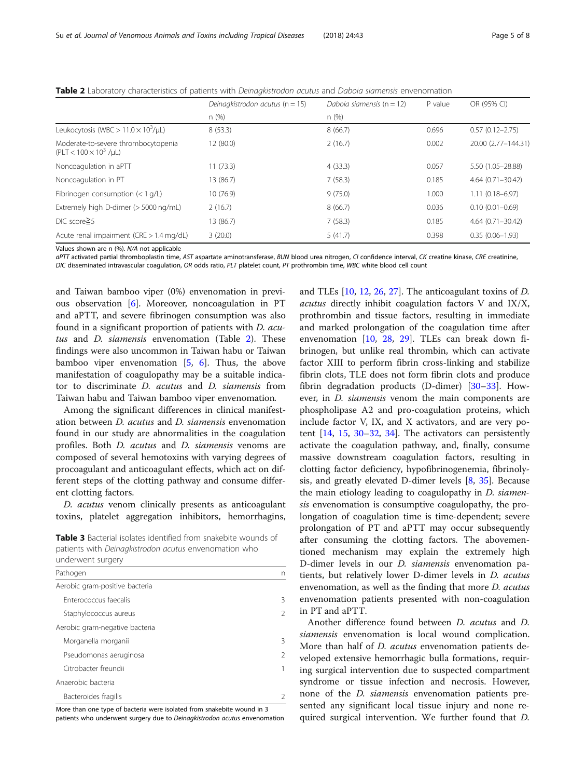|                                                                      | Deinagkistrodon acutus ( $n = 15$ ) | Daboia siamensis $(n = 12)$ | P value | OR (95% CI)          |
|----------------------------------------------------------------------|-------------------------------------|-----------------------------|---------|----------------------|
|                                                                      | n(%)                                | n(%)                        |         |                      |
| Leukocytosis (WBC > $11.0 \times 10^3/\mu L$ )                       | 8(53.3)                             | 8(66.7)                     | 0.696   | $0.57(0.12 - 2.75)$  |
| Moderate-to-severe thrombocytopenia<br>(PLT < $100 \times 10^3$ /uL) | 12(80.0)                            | 2(16.7)                     | 0.002   | 20.00 (2.77-144.31)  |
| Noncoagulation in aPTT                                               | 11(73.3)                            | 4(33.3)                     | 0.057   | 5.50 (1.05-28.88)    |
| Noncoagulation in PT                                                 | 13 (86.7)                           | 7(58.3)                     | 0.185   | $4.64(0.71 - 30.42)$ |
| Fibrinogen consumption $(< 1 q/L)$                                   | 10 (76.9)                           | 9(75.0)                     | 1.000   | $1.11(0.18 - 6.97)$  |
| Extremely high D-dimer (> 5000 ng/mL)                                | 2(16.7)                             | 8(66.7)                     | 0.036   | $0.10(0.01 - 0.69)$  |
| $DIC$ score $\geq$ 5                                                 | 13 (86.7)                           | 7(58.3)                     | 0.185   | $4.64(0.71 - 30.42)$ |
| Acute renal impairment (CRE > 1.4 mg/dL)                             | 3(20.0)                             | 5(41.7)                     | 0.398   | $0.35(0.06 - 1.93)$  |

<span id="page-4-0"></span>Table 2 Laboratory characteristics of patients with Deinagkistrodon acutus and Daboia siamensis envenomation

Values shown are n (%). N/A not applicable

aPTT activated partial thromboplastin time, AST aspartate aminotransferase, BUN blood urea nitrogen, CI confidence interval, CK creatine kinase, CRE creatinine, DIC disseminated intravascular coagulation, OR odds ratio, PLT platelet count, PT prothrombin time, WBC white blood cell count

and Taiwan bamboo viper (0%) envenomation in previous observation [[6\]](#page-7-0). Moreover, noncoagulation in PT and aPTT, and severe fibrinogen consumption was also found in a significant proportion of patients with D. acutus and *D. siamensis* envenomation (Table 2). These findings were also uncommon in Taiwan habu or Taiwan bamboo viper envenomation [\[5](#page-7-0), [6](#page-7-0)]. Thus, the above manifestation of coagulopathy may be a suitable indicator to discriminate D. acutus and D. siamensis from Taiwan habu and Taiwan bamboo viper envenomation.

Among the significant differences in clinical manifestation between D. acutus and D. siamensis envenomation found in our study are abnormalities in the coagulation profiles. Both D. acutus and D. siamensis venoms are composed of several hemotoxins with varying degrees of procoagulant and anticoagulant effects, which act on different steps of the clotting pathway and consume different clotting factors.

D. acutus venom clinically presents as anticoagulant toxins, platelet aggregation inhibitors, hemorrhagins,

Table 3 Bacterial isolates identified from snakebite wounds of patients with Deinagkistrodon acutus envenomation who underwent surgery

| Pathogen                       | n |
|--------------------------------|---|
| Aerobic gram-positive bacteria |   |
| Enterococcus faecalis          | 3 |
| Staphylococcus aureus          | 2 |
| Aerobic gram-negative bacteria |   |
| Morganella morganii            | 3 |
| Pseudomonas aeruginosa         | 2 |
| Citrobacter freundii           | 1 |
| Anaerobic bacteria             |   |
| Bacteroides fragilis           | 2 |

More than one type of bacteria were isolated from snakebite wound in 3

patients who underwent surgery due to Deinagkistrodon acutus envenomation

and TLEs [\[10](#page-7-0), [12](#page-7-0), [26](#page-7-0), [27](#page-7-0)]. The anticoagulant toxins of D. acutus directly inhibit coagulation factors V and IX/X, prothrombin and tissue factors, resulting in immediate and marked prolongation of the coagulation time after envenomation [\[10](#page-7-0), [28,](#page-7-0) [29](#page-7-0)]. TLEs can break down fibrinogen, but unlike real thrombin, which can activate factor XIII to perform fibrin cross-linking and stabilize fibrin clots, TLE does not form fibrin clots and produce fibrin degradation products (D-dimer) [[30](#page-7-0)–[33](#page-7-0)]. However, in *D. siamensis* venom the main components are phospholipase A2 and pro-coagulation proteins, which include factor V, IX, and X activators, and are very potent [[14,](#page-7-0) [15,](#page-7-0) [30](#page-7-0)–[32](#page-7-0), [34](#page-7-0)]. The activators can persistently activate the coagulation pathway, and, finally, consume massive downstream coagulation factors, resulting in clotting factor deficiency, hypofibrinogenemia, fibrinolysis, and greatly elevated D-dimer levels [\[8,](#page-7-0) [35\]](#page-7-0). Because the main etiology leading to coagulopathy in *D. siamen*sis envenomation is consumptive coagulopathy, the prolongation of coagulation time is time-dependent; severe prolongation of PT and aPTT may occur subsequently after consuming the clotting factors. The abovementioned mechanism may explain the extremely high D-dimer levels in our D. siamensis envenomation patients, but relatively lower D-dimer levels in D. acutus envenomation, as well as the finding that more D. acutus envenomation patients presented with non-coagulation in PT and aPTT.

Another difference found between D. acutus and D. siamensis envenomation is local wound complication. More than half of *D. acutus* envenomation patients developed extensive hemorrhagic bulla formations, requiring surgical intervention due to suspected compartment syndrome or tissue infection and necrosis. However, none of the D. siamensis envenomation patients presented any significant local tissue injury and none required surgical intervention. We further found that D.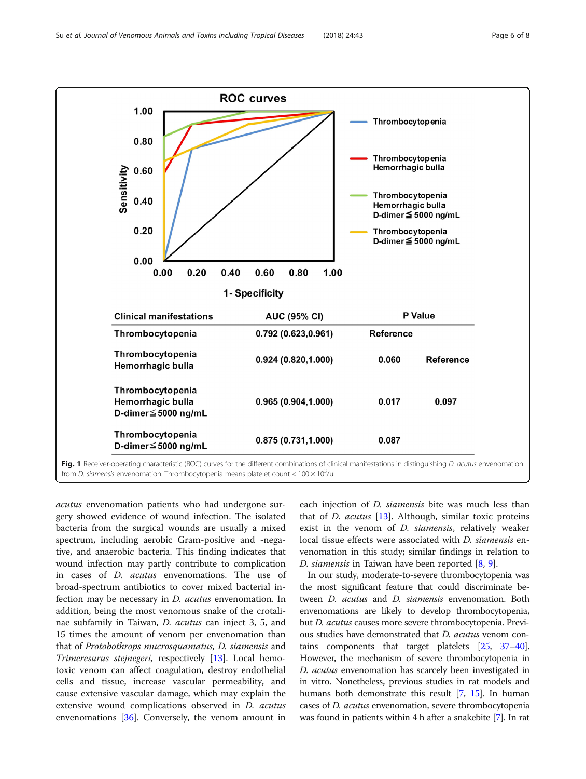<span id="page-5-0"></span>

acutus envenomation patients who had undergone surgery showed evidence of wound infection. The isolated bacteria from the surgical wounds are usually a mixed spectrum, including aerobic Gram-positive and -negative, and anaerobic bacteria. This finding indicates that wound infection may partly contribute to complication in cases of D. acutus envenomations. The use of

broad-spectrum antibiotics to cover mixed bacterial infection may be necessary in D. acutus envenomation. In addition, being the most venomous snake of the crotalinae subfamily in Taiwan, D. acutus can inject 3, 5, and 15 times the amount of venom per envenomation than that of Protobothrops mucrosquamatus, D. siamensis and Trimeresurus stejnegeri, respectively [[13](#page-7-0)]. Local hemotoxic venom can affect coagulation, destroy endothelial cells and tissue, increase vascular permeability, and cause extensive vascular damage, which may explain the extensive wound complications observed in *D. acutus* envenomations [\[36\]](#page-7-0). Conversely, the venom amount in

each injection of D. siamensis bite was much less than that of *D. acutus* [[13\]](#page-7-0). Although, similar toxic proteins exist in the venom of D. siamensis, relatively weaker local tissue effects were associated with D. siamensis envenomation in this study; similar findings in relation to D. siamensis in Taiwan have been reported [\[8](#page-7-0), [9](#page-7-0)].

In our study, moderate-to-severe thrombocytopenia was the most significant feature that could discriminate between *D. acutus* and *D. siamensis* envenomation. Both envenomations are likely to develop thrombocytopenia, but D. acutus causes more severe thrombocytopenia. Previous studies have demonstrated that D. acutus venom contains components that target platelets [[25](#page-7-0), [37](#page-7-0)–[40](#page-7-0)]. However, the mechanism of severe thrombocytopenia in D. acutus envenomation has scarcely been investigated in in vitro. Nonetheless, previous studies in rat models and humans both demonstrate this result [[7](#page-7-0), [15\]](#page-7-0). In human cases of D. acutus envenomation, severe thrombocytopenia was found in patients within 4 h after a snakebite [\[7\]](#page-7-0). In rat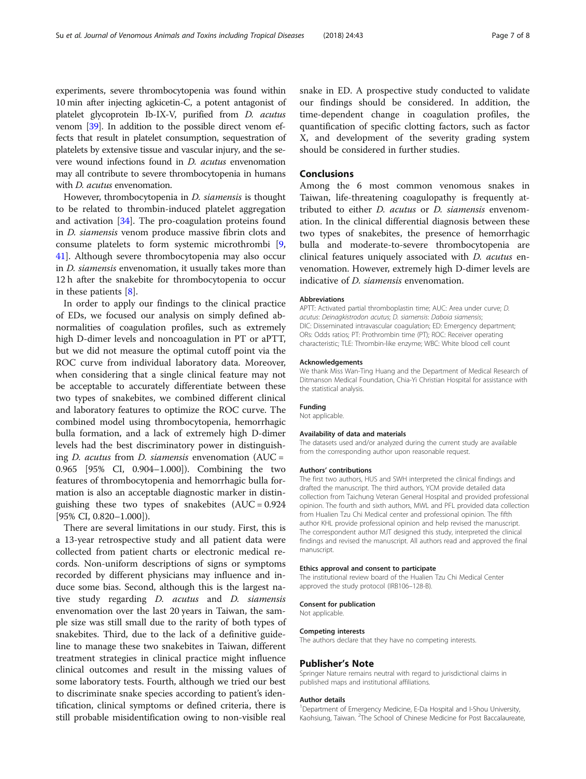experiments, severe thrombocytopenia was found within 10 min after injecting agkicetin-C, a potent antagonist of platelet glycoprotein Ib-IX-V, purified from D. acutus venom [[39](#page-7-0)]. In addition to the possible direct venom effects that result in platelet consumption, sequestration of platelets by extensive tissue and vascular injury, and the severe wound infections found in D. acutus envenomation may all contribute to severe thrombocytopenia in humans with *D. acutus* envenomation.

However, thrombocytopenia in D. siamensis is thought to be related to thrombin-induced platelet aggregation and activation [\[34\]](#page-7-0). The pro-coagulation proteins found in D. siamensis venom produce massive fibrin clots and consume platelets to form systemic microthrombi [[9](#page-7-0), [41\]](#page-7-0). Although severe thrombocytopenia may also occur in D. siamensis envenomation, it usually takes more than 12 h after the snakebite for thrombocytopenia to occur in these patients [[8\]](#page-7-0).

In order to apply our findings to the clinical practice of EDs, we focused our analysis on simply defined abnormalities of coagulation profiles, such as extremely high D-dimer levels and noncoagulation in PT or aPTT, but we did not measure the optimal cutoff point via the ROC curve from individual laboratory data. Moreover, when considering that a single clinical feature may not be acceptable to accurately differentiate between these two types of snakebites, we combined different clinical and laboratory features to optimize the ROC curve. The combined model using thrombocytopenia, hemorrhagic bulla formation, and a lack of extremely high D-dimer levels had the best discriminatory power in distinguishing *D. acutus* from *D. siamensis* envenomation  $(AUC =$ 0.965 [95% CI, 0.904–1.000]). Combining the two features of thrombocytopenia and hemorrhagic bulla formation is also an acceptable diagnostic marker in distinguishing these two types of snakebites  $(AUC = 0.924$ [95% CI, 0.820–1.000]).

There are several limitations in our study. First, this is a 13-year retrospective study and all patient data were collected from patient charts or electronic medical records. Non-uniform descriptions of signs or symptoms recorded by different physicians may influence and induce some bias. Second, although this is the largest native study regarding D. acutus and D. siamensis envenomation over the last 20 years in Taiwan, the sample size was still small due to the rarity of both types of snakebites. Third, due to the lack of a definitive guideline to manage these two snakebites in Taiwan, different treatment strategies in clinical practice might influence clinical outcomes and result in the missing values of some laboratory tests. Fourth, although we tried our best to discriminate snake species according to patient's identification, clinical symptoms or defined criteria, there is still probable misidentification owing to non-visible real

snake in ED. A prospective study conducted to validate our findings should be considered. In addition, the time-dependent change in coagulation profiles, the quantification of specific clotting factors, such as factor X, and development of the severity grading system should be considered in further studies.

## Conclusions

Among the 6 most common venomous snakes in Taiwan, life-threatening coagulopathy is frequently attributed to either *D. acutus* or *D. siamensis* envenomation. In the clinical differential diagnosis between these two types of snakebites, the presence of hemorrhagic bulla and moderate-to-severe thrombocytopenia are clinical features uniquely associated with D. acutus envenomation. However, extremely high D-dimer levels are indicative of D. siamensis envenomation.

#### Abbreviations

APTT: Activated partial thromboplastin time; AUC: Area under curve; D. acutus: Deinagkistrodon acutus; D. siamensis: Daboia siamensis; DIC: Disseminated intravascular coagulation; ED: Emergency department; ORs: Odds ratios; PT: Prothrombin time (PT); ROC: Receiver operating characteristic; TLE: Thrombin-like enzyme; WBC: White blood cell count

#### Acknowledgements

We thank Miss Wan-Ting Huang and the Department of Medical Research of Ditmanson Medical Foundation, Chia-Yi Christian Hospital for assistance with the statistical analysis.

#### Funding

Not applicable.

#### Availability of data and materials

The datasets used and/or analyzed during the current study are available from the corresponding author upon reasonable request.

#### Authors' contributions

The first two authors, HUS and SWH interpreted the clinical findings and drafted the manuscript. The third authors, YCM provide detailed data collection from Taichung Veteran General Hospital and provided professional opinion. The fourth and sixth authors, MWL and PFL provided data collection from Hualien Tzu Chi Medical center and professional opinion. The fifth author KHL provide professional opinion and help revised the manuscript. The correspondent author MJT designed this study, interpreted the clinical findings and revised the manuscript. All authors read and approved the final manuscript.

#### Ethics approval and consent to participate

The institutional review board of the Hualien Tzu Chi Medical Center approved the study protocol (IRB106–128-B).

#### Consent for publication

Not applicable.

## Competing interests

The authors declare that they have no competing interests.

### Publisher's Note

Springer Nature remains neutral with regard to jurisdictional claims in published maps and institutional affiliations.

#### Author details

<sup>1</sup> Department of Emergency Medicine, E-Da Hospital and I-Shou University, Kaohsiung, Taiwan. <sup>2</sup>The School of Chinese Medicine for Post Baccalaureate